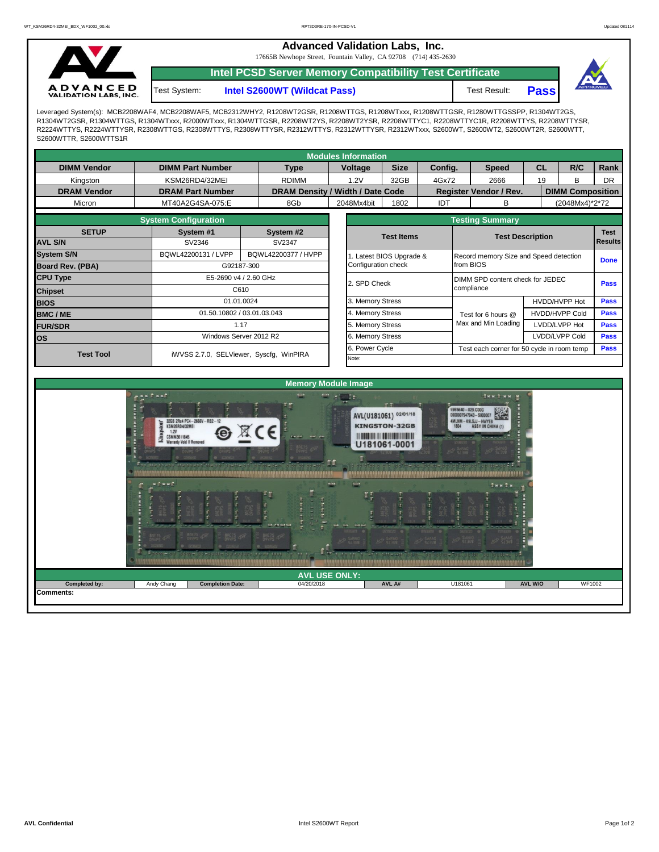**Advanced Validation Labs, Inc.** 

17665B Newhope Street, Fountain Valley, CA 92708 (714) 435-2630



**Intel PCSD Server Memory Compatibility Test Certificate**

Test System: **Intel S2600WT (Wildcat Pass)** Test Result: **Pass** 



Leveraged System(s): MCB2208WAF4, MCB2208WAF5, MCB2312WHY2, R1208WT2GSR, R1208WTTGS, R1208WTxxx, R1208WTTGSR, R1280WTTGSSPP, R1304WT2GS, R1304WT2GSR, R1304WTTGS, R1304WTxxx, R2000WTxxx, R1304WTTGSR, R2208WT2YS, R2208WT2YSR, R2208WTTYC1, R2208WTTYC1R, R2208WTTYS, R2208WTTYSR, R2224WTTYS, R2224WTTYSR, R2308WTTGS, R2308WTTYS, R2308WTTYSR, R2312WTTYS, R2312WTTYSR, R2312WTxxx, S2600WT, S2600WT2, S2600WT2R, S2600WTT, S2600WTTR, S2600WTTS1R

| <b>Modules Information</b> |                             |                                         |                                  |                  |                     |                                                    |                                        |    |                         |             |  |  |  |  |
|----------------------------|-----------------------------|-----------------------------------------|----------------------------------|------------------|---------------------|----------------------------------------------------|----------------------------------------|----|-------------------------|-------------|--|--|--|--|
| <b>DIMM Vendor</b>         | <b>DIMM Part Number</b>     | <b>Type</b>                             |                                  | Voltage          | <b>Size</b>         | Config.                                            | <b>Speed</b>                           | CL | R/C                     | Rank        |  |  |  |  |
| Kingston                   | KSM26RD4/32MEI              | <b>RDIMM</b>                            |                                  | 1.2V             | 32GB                | 4Gx72                                              | 2666                                   | 19 | B                       | <b>DR</b>   |  |  |  |  |
| <b>DRAM Vendor</b>         | <b>DRAM Part Number</b>     |                                         | DRAM Density / Width / Date Code |                  |                     |                                                    | <b>Register Vendor / Rev.</b>          |    | <b>DIMM Composition</b> |             |  |  |  |  |
| Micron                     | MT40A2G4SA-075:E            | 8Gb                                     |                                  | 2048Mx4bit       | 1802                | IDT                                                | в                                      |    | (2048Mx4)*2*72          |             |  |  |  |  |
|                            | <b>System Configuration</b> |                                         | <b>Testing Summary</b>           |                  |                     |                                                    |                                        |    |                         |             |  |  |  |  |
| <b>SETUP</b>               | System #1                   | System #2                               |                                  |                  |                     | <b>Test Items</b>                                  |                                        |    | <b>Test Description</b> |             |  |  |  |  |
| <b>AVL S/N</b>             | SV2346                      | SV2347                                  |                                  |                  |                     | <b>Results</b>                                     |                                        |    |                         |             |  |  |  |  |
| <b>System S/N</b>          | BQWL42200131 / LVPP         | BQWL42200377 / HVPP                     |                                  |                  |                     | Latest BIOS Upgrade &                              | Record memory Size and Speed detection |    |                         |             |  |  |  |  |
| <b>Board Rev. (PBA)</b>    |                             | G92187-300                              |                                  |                  | Configuration check |                                                    | from BIOS                              |    |                         |             |  |  |  |  |
| <b>CPU Type</b>            |                             | E5-2690 v4 / 2.60 GHz                   |                                  |                  |                     |                                                    | DIMM SPD content check for JEDEC       |    |                         |             |  |  |  |  |
| <b>Chipset</b>             |                             | C610                                    |                                  |                  |                     |                                                    | compliance                             |    |                         |             |  |  |  |  |
| <b>BIOS</b>                |                             | 01.01.0024                              |                                  |                  |                     |                                                    | HVDD/HVPP Hot                          |    |                         | <b>Pass</b> |  |  |  |  |
| <b>BMC/ME</b>              |                             | 01.50.10802 / 03.01.03.043              |                                  |                  |                     |                                                    | Test for 6 hours @                     |    | <b>HVDD/HVPP Cold</b>   | <b>Pass</b> |  |  |  |  |
| <b>FUR/SDR</b>             |                             | 1.17                                    |                                  |                  |                     | 5. Memory Stress                                   |                                        |    | LVDD/LVPP Hot           | <b>Pass</b> |  |  |  |  |
| <b>los</b>                 |                             | Windows Server 2012 R2                  |                                  | 6. Memory Stress |                     |                                                    |                                        |    | LVDD/LVPP Cold          | <b>Pass</b> |  |  |  |  |
| <b>Test Tool</b>           |                             |                                         |                                  |                  | Power Cycle         | Test each corner for 50 cycle in room temp<br>Pass |                                        |    |                         |             |  |  |  |  |
|                            |                             | iWVSS 2.7.0, SELViewer, Syscfg, WinPIRA |                                  |                  |                     |                                                    |                                        |    |                         |             |  |  |  |  |